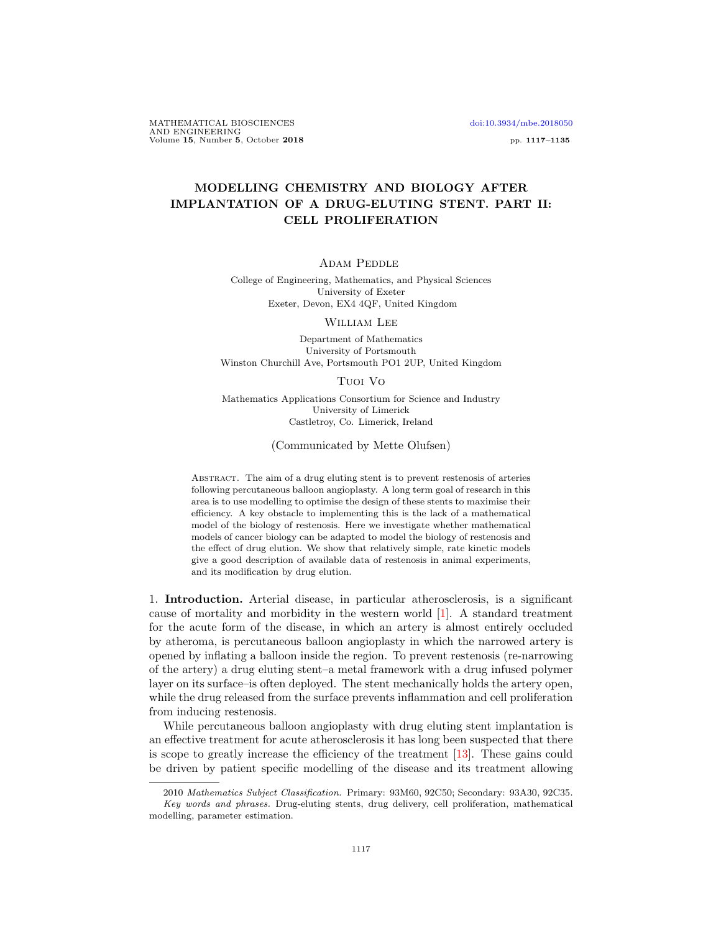MATHEMATICAL BIOSCIENCES [doi:10.3934/mbe.2018050](http://dx.doi.org/10.3934/mbe.2018050) AND ENGINEERING Volume 15, Number 5, October 2018 pp. 1117–1135

## MODELLING CHEMISTRY AND BIOLOGY AFTER IMPLANTATION OF A DRUG-ELUTING STENT. PART II: CELL PROLIFERATION

Adam Peddle

College of Engineering, Mathematics, and Physical Sciences University of Exeter Exeter, Devon, EX4 4QF, United Kingdom

William Lee

Department of Mathematics University of Portsmouth Winston Churchill Ave, Portsmouth PO1 2UP, United Kingdom

Tuoi Vo

Mathematics Applications Consortium for Science and Industry University of Limerick Castletroy, Co. Limerick, Ireland

(Communicated by Mette Olufsen)

Abstract. The aim of a drug eluting stent is to prevent restenosis of arteries following percutaneous balloon angioplasty. A long term goal of research in this area is to use modelling to optimise the design of these stents to maximise their efficiency. A key obstacle to implementing this is the lack of a mathematical model of the biology of restenosis. Here we investigate whether mathematical models of cancer biology can be adapted to model the biology of restenosis and the effect of drug elution. We show that relatively simple, rate kinetic models give a good description of available data of restenosis in animal experiments, and its modification by drug elution.

1. Introduction. Arterial disease, in particular atherosclerosis, is a significant cause of mortality and morbidity in the western world [\[1\]](#page-17-0). A standard treatment for the acute form of the disease, in which an artery is almost entirely occluded by atheroma, is percutaneous balloon angioplasty in which the narrowed artery is opened by inflating a balloon inside the region. To prevent restenosis (re-narrowing of the artery) a drug eluting stent–a metal framework with a drug infused polymer layer on its surface–is often deployed. The stent mechanically holds the artery open, while the drug released from the surface prevents inflammation and cell proliferation from inducing restenosis.

While percutaneous balloon angioplasty with drug eluting stent implantation is an effective treatment for acute atherosclerosis it has long been suspected that there is scope to greatly increase the efficiency of the treatment [\[13\]](#page-17-1). These gains could be driven by patient specific modelling of the disease and its treatment allowing

<sup>2010</sup> Mathematics Subject Classification. Primary: 93M60, 92C50; Secondary: 93A30, 92C35. Key words and phrases. Drug-eluting stents, drug delivery, cell proliferation, mathematical modelling, parameter estimation.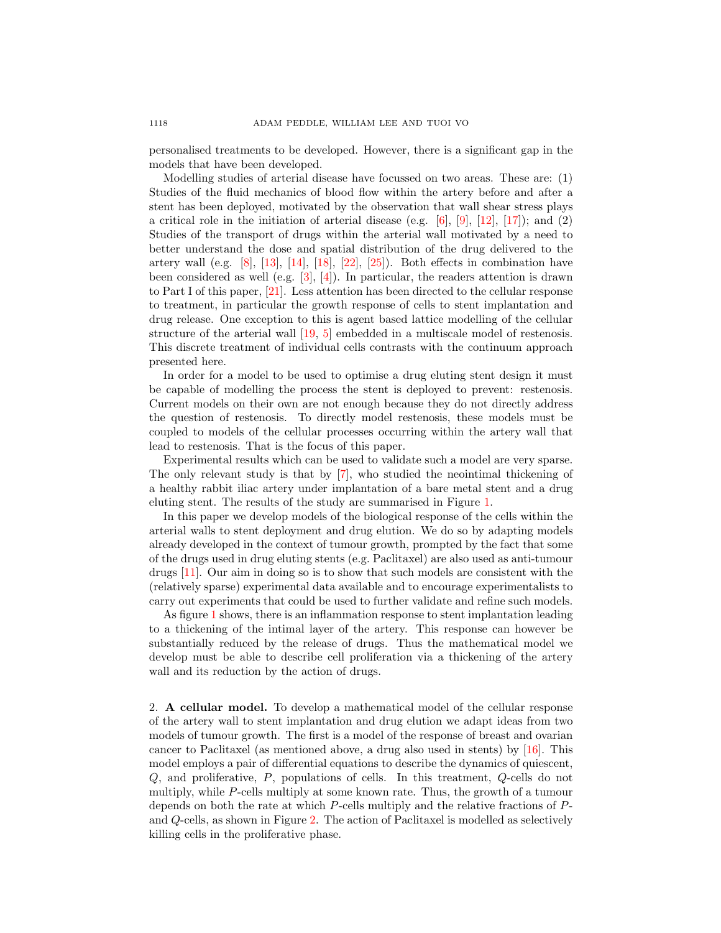personalised treatments to be developed. However, there is a significant gap in the models that have been developed.

Modelling studies of arterial disease have focussed on two areas. These are: (1) Studies of the fluid mechanics of blood flow within the artery before and after a stent has been deployed, motivated by the observation that wall shear stress plays a critical role in the initiation of arterial disease (e.g.  $[6]$ ,  $[9]$ ,  $[12]$ ,  $[17]$ ); and  $(2)$ Studies of the transport of drugs within the arterial wall motivated by a need to better understand the dose and spatial distribution of the drug delivered to the artery wall (e.g. [\[8\]](#page-17-5), [\[13\]](#page-17-1), [\[14\]](#page-17-6), [\[18\]](#page-18-1), [\[22\]](#page-18-2), [\[25\]](#page-18-3)). Both effects in combination have been considered as well (e.g.  $[3]$ ,  $[4]$ ). In particular, the readers attention is drawn to Part I of this paper, [\[21\]](#page-18-4). Less attention has been directed to the cellular response to treatment, in particular the growth response of cells to stent implantation and drug release. One exception to this is agent based lattice modelling of the cellular structure of the arterial wall [\[19,](#page-18-5) [5\]](#page-17-9) embedded in a multiscale model of restenosis. This discrete treatment of individual cells contrasts with the continuum approach presented here.

In order for a model to be used to optimise a drug eluting stent design it must be capable of modelling the process the stent is deployed to prevent: restenosis. Current models on their own are not enough because they do not directly address the question of restenosis. To directly model restenosis, these models must be coupled to models of the cellular processes occurring within the artery wall that lead to restenosis. That is the focus of this paper.

Experimental results which can be used to validate such a model are very sparse. The only relevant study is that by [\[7\]](#page-17-10), who studied the neointimal thickening of a healthy rabbit iliac artery under implantation of a bare metal stent and a drug eluting stent. The results of the study are summarised in Figure [1.](#page-2-0)

In this paper we develop models of the biological response of the cells within the arterial walls to stent deployment and drug elution. We do so by adapting models already developed in the context of tumour growth, prompted by the fact that some of the drugs used in drug eluting stents (e.g. Paclitaxel) are also used as anti-tumour drugs [\[11\]](#page-17-11). Our aim in doing so is to show that such models are consistent with the (relatively sparse) experimental data available and to encourage experimentalists to carry out experiments that could be used to further validate and refine such models.

As figure [1](#page-2-0) shows, there is an inflammation response to stent implantation leading to a thickening of the intimal layer of the artery. This response can however be substantially reduced by the release of drugs. Thus the mathematical model we develop must be able to describe cell proliferation via a thickening of the artery wall and its reduction by the action of drugs.

2. A cellular model. To develop a mathematical model of the cellular response of the artery wall to stent implantation and drug elution we adapt ideas from two models of tumour growth. The first is a model of the response of breast and ovarian cancer to Paclitaxel (as mentioned above, a drug also used in stents) by [\[16\]](#page-18-6). This model employs a pair of differential equations to describe the dynamics of quiescent, Q, and proliferative, P, populations of cells. In this treatment, Q-cells do not multiply, while P-cells multiply at some known rate. Thus, the growth of a tumour depends on both the rate at which P-cells multiply and the relative fractions of Pand Q-cells, as shown in Figure [2.](#page-2-1) The action of Paclitaxel is modelled as selectively killing cells in the proliferative phase.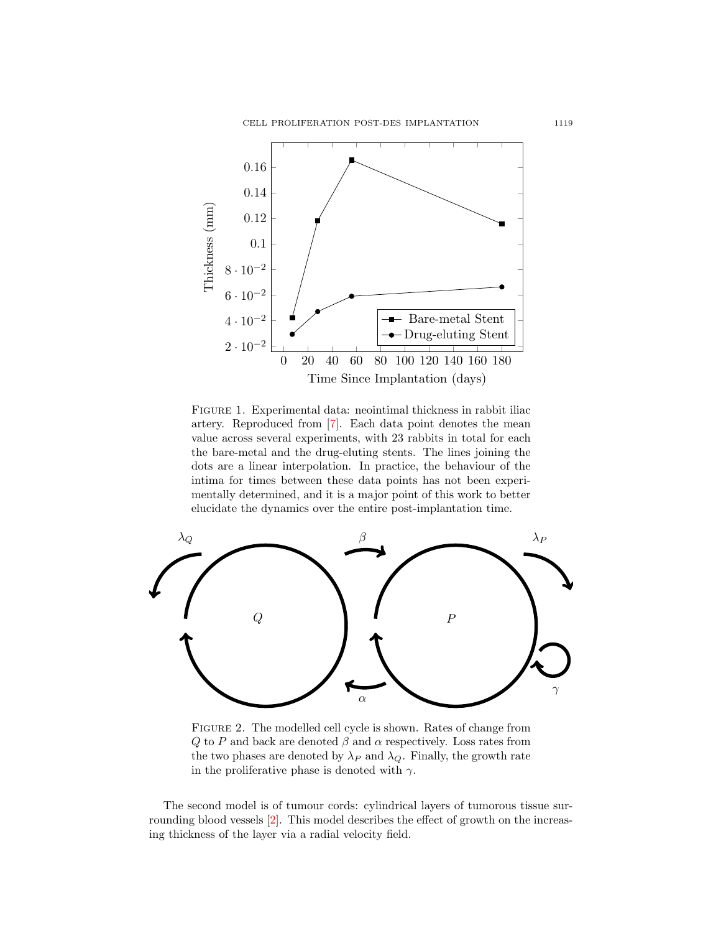CELL PROLIFERATION POST-DES IMPLANTATION 1119



<span id="page-2-0"></span>Figure 1. Experimental data: neointimal thickness in rabbit iliac artery. Reproduced from [\[7\]](#page-17-10). Each data point denotes the mean value across several experiments, with 23 rabbits in total for each the bare-metal and the drug-eluting stents. The lines joining the dots are a linear interpolation. In practice, the behaviour of the intima for times between these data points has not been experimentally determined, and it is a major point of this work to better elucidate the dynamics over the entire post-implantation time.



<span id="page-2-1"></span>FIGURE 2. The modelled cell cycle is shown. Rates of change from Q to P and back are denoted  $\beta$  and  $\alpha$  respectively. Loss rates from the two phases are denoted by  $\lambda_P$  and  $\lambda_Q$ . Finally, the growth rate in the proliferative phase is denoted with  $\gamma$ .

The second model is of tumour cords: cylindrical layers of tumorous tissue surrounding blood vessels [\[2\]](#page-17-12). This model describes the effect of growth on the increasing thickness of the layer via a radial velocity field.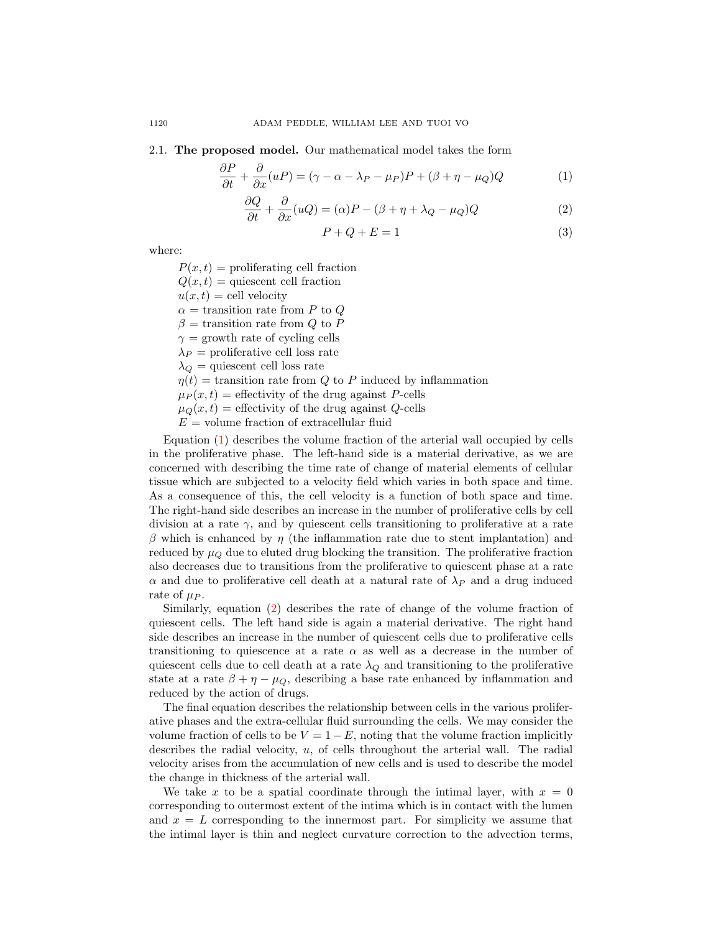2.1. The proposed model. Our mathematical model takes the form

<span id="page-3-0"></span>
$$
\frac{\partial P}{\partial t} + \frac{\partial}{\partial x}(uP) = (\gamma - \alpha - \lambda_P - \mu_P)P + (\beta + \eta - \mu_Q)Q
$$
 (1)

<span id="page-3-1"></span>
$$
\frac{\partial Q}{\partial t} + \frac{\partial}{\partial x}(uQ) = (\alpha)P - (\beta + \eta + \lambda_Q - \mu_Q)Q
$$
\n(2)

$$
P + Q + E = 1\tag{3}
$$

where:

 $P(x, t)$  = proliferating cell fraction  $Q(x, t)$  = quiescent cell fraction  $u(x, t) =$  cell velocity  $\alpha$  = transition rate from P to Q  $\beta$  = transition rate from Q to P  $\gamma$  = growth rate of cycling cells  $\lambda_P$  = proliferative cell loss rate  $\lambda_Q$  = quiescent cell loss rate  $\eta(t)$  = transition rate from Q to P induced by inflammation  $\mu_P(x, t)$  = effectivity of the drug against P-cells  $\mu_Q(x, t)$  = effectivity of the drug against Q-cells  $E =$  volume fraction of extracellular fluid

Equation [\(1\)](#page-3-0) describes the volume fraction of the arterial wall occupied by cells in the proliferative phase. The left-hand side is a material derivative, as we are concerned with describing the time rate of change of material elements of cellular tissue which are subjected to a velocity field which varies in both space and time. As a consequence of this, the cell velocity is a function of both space and time. The right-hand side describes an increase in the number of proliferative cells by cell division at a rate  $\gamma$ , and by quiescent cells transitioning to proliferative at a rate β which is enhanced by  $η$  (the inflammation rate due to stent implantation) and reduced by  $\mu_{\mathcal{O}}$  due to eluted drug blocking the transition. The proliferative fraction also decreases due to transitions from the proliferative to quiescent phase at a rate  $\alpha$  and due to proliferative cell death at a natural rate of  $\lambda_P$  and a drug induced rate of  $\mu_P$ .

Similarly, equation [\(2\)](#page-3-1) describes the rate of change of the volume fraction of quiescent cells. The left hand side is again a material derivative. The right hand side describes an increase in the number of quiescent cells due to proliferative cells transitioning to quiescence at a rate  $\alpha$  as well as a decrease in the number of quiescent cells due to cell death at a rate  $\lambda_Q$  and transitioning to the proliferative state at a rate  $\beta + \eta - \mu_Q$ , describing a base rate enhanced by inflammation and reduced by the action of drugs.

The final equation describes the relationship between cells in the various proliferative phases and the extra-cellular fluid surrounding the cells. We may consider the volume fraction of cells to be  $V = 1 - E$ , noting that the volume fraction implicitly describes the radial velocity,  $u$ , of cells throughout the arterial wall. The radial velocity arises from the accumulation of new cells and is used to describe the model the change in thickness of the arterial wall.

We take x to be a spatial coordinate through the intimal layer, with  $x = 0$ corresponding to outermost extent of the intima which is in contact with the lumen and  $x = L$  corresponding to the innermost part. For simplicity we assume that the intimal layer is thin and neglect curvature correction to the advection terms,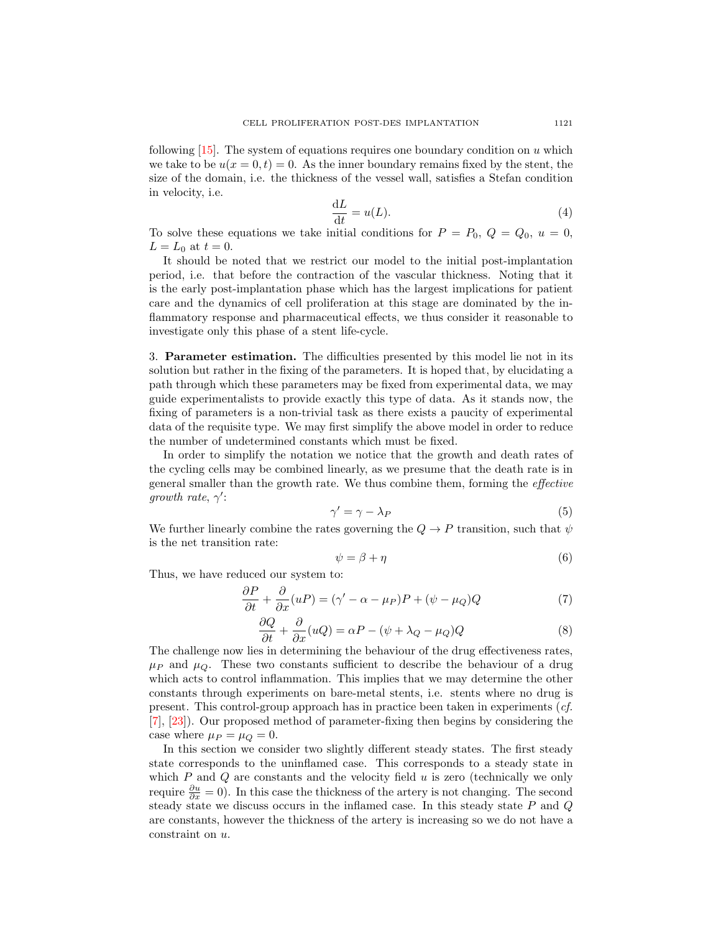following  $[15]$ . The system of equations requires one boundary condition on u which we take to be  $u(x = 0, t) = 0$ . As the inner boundary remains fixed by the stent, the size of the domain, i.e. the thickness of the vessel wall, satisfies a Stefan condition in velocity, i.e.

$$
\frac{\mathrm{d}L}{\mathrm{d}t} = u(L). \tag{4}
$$

To solve these equations we take initial conditions for  $P = P_0, Q = Q_0, u = 0$ ,  $L = L_0$  at  $t = 0$ .

It should be noted that we restrict our model to the initial post-implantation period, i.e. that before the contraction of the vascular thickness. Noting that it is the early post-implantation phase which has the largest implications for patient care and the dynamics of cell proliferation at this stage are dominated by the inflammatory response and pharmaceutical effects, we thus consider it reasonable to investigate only this phase of a stent life-cycle.

<span id="page-4-2"></span>3. Parameter estimation. The difficulties presented by this model lie not in its solution but rather in the fixing of the parameters. It is hoped that, by elucidating a path through which these parameters may be fixed from experimental data, we may guide experimentalists to provide exactly this type of data. As it stands now, the fixing of parameters is a non-trivial task as there exists a paucity of experimental data of the requisite type. We may first simplify the above model in order to reduce the number of undetermined constants which must be fixed.

In order to simplify the notation we notice that the growth and death rates of the cycling cells may be combined linearly, as we presume that the death rate is in general smaller than the growth rate. We thus combine them, forming the effective growth rate,  $\gamma'$ :

$$
\gamma' = \gamma - \lambda_P \tag{5}
$$

We further linearly combine the rates governing the  $Q \to P$  transition, such that  $\psi$ is the net transition rate:

$$
\psi = \beta + \eta \tag{6}
$$

Thus, we have reduced our system to:

<span id="page-4-0"></span>
$$
\frac{\partial P}{\partial t} + \frac{\partial}{\partial x}(uP) = (\gamma' - \alpha - \mu_P)P + (\psi - \mu_Q)Q\tag{7}
$$

<span id="page-4-1"></span>
$$
\frac{\partial Q}{\partial t} + \frac{\partial}{\partial x}(uQ) = \alpha P - (\psi + \lambda_Q - \mu_Q)Q \tag{8}
$$

The challenge now lies in determining the behaviour of the drug effectiveness rates,  $\mu$ <sub>P</sub> and  $\mu$ <sub>Q</sub>. These two constants sufficient to describe the behaviour of a drug which acts to control inflammation. This implies that we may determine the other constants through experiments on bare-metal stents, i.e. stents where no drug is present. This control-group approach has in practice been taken in experiments (cf. [\[7\]](#page-17-10), [\[23\]](#page-18-8)). Our proposed method of parameter-fixing then begins by considering the case where  $\mu_P = \mu_Q = 0$ .

In this section we consider two slightly different steady states. The first steady state corresponds to the uninflamed case. This corresponds to a steady state in which  $P$  and  $Q$  are constants and the velocity field  $u$  is zero (technically we only require  $\frac{\partial u}{\partial x} = 0$ ). In this case the thickness of the artery is not changing. The second steady state we discuss occurs in the inflamed case. In this steady state  $P$  and  $Q$ are constants, however the thickness of the artery is increasing so we do not have a constraint on u.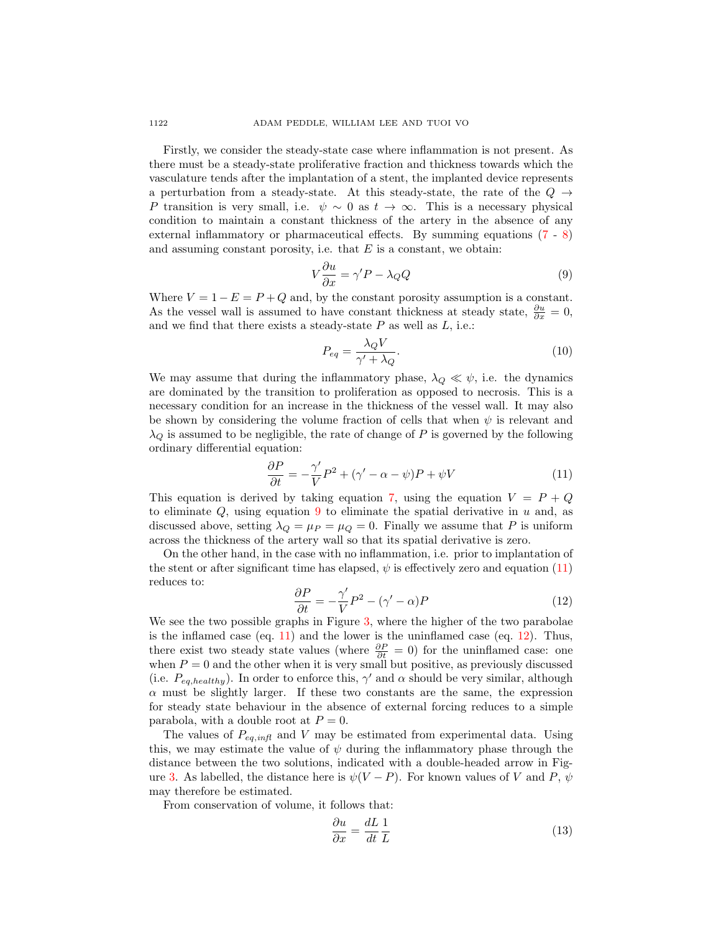Firstly, we consider the steady-state case where inflammation is not present. As there must be a steady-state proliferative fraction and thickness towards which the vasculature tends after the implantation of a stent, the implanted device represents a perturbation from a steady-state. At this steady-state, the rate of the  $Q \rightarrow$ P transition is very small, i.e.  $\psi \sim 0$  as  $t \to \infty$ . This is a necessary physical condition to maintain a constant thickness of the artery in the absence of any external inflammatory or pharmaceutical effects. By summing equations [\(7](#page-4-0) - [8\)](#page-4-1) and assuming constant porosity, i.e. that  $E$  is a constant, we obtain:

<span id="page-5-0"></span>
$$
V\frac{\partial u}{\partial x} = \gamma'P - \lambda_Q Q\tag{9}
$$

Where  $V = 1 - E = P + Q$  and, by the constant porosity assumption is a constant. As the vessel wall is assumed to have constant thickness at steady state,  $\frac{\partial u}{\partial x} = 0$ , and we find that there exists a steady-state  $P$  as well as  $L$ , i.e.:

$$
P_{eq} = \frac{\lambda_Q V}{\gamma' + \lambda_Q}.\tag{10}
$$

We may assume that during the inflammatory phase,  $\lambda_{\mathcal{Q}} \ll \psi$ , i.e. the dynamics are dominated by the transition to proliferation as opposed to necrosis. This is a necessary condition for an increase in the thickness of the vessel wall. It may also be shown by considering the volume fraction of cells that when  $\psi$  is relevant and  $\lambda_Q$  is assumed to be negligible, the rate of change of P is governed by the following ordinary differential equation:

<span id="page-5-1"></span>
$$
\frac{\partial P}{\partial t} = -\frac{\gamma'}{V}P^2 + (\gamma' - \alpha - \psi)P + \psi V \tag{11}
$$

This equation is derived by taking equation [7,](#page-4-0) using the equation  $V = P + Q$ to eliminate  $Q$ , using equation [9](#page-5-0) to eliminate the spatial derivative in  $u$  and, as discussed above, setting  $\lambda_Q = \mu_P = \mu_Q = 0$ . Finally we assume that P is uniform across the thickness of the artery wall so that its spatial derivative is zero.

On the other hand, in the case with no inflammation, i.e. prior to implantation of the stent or after significant time has elapsed,  $\psi$  is effectively zero and equation [\(11\)](#page-5-1) reduces to:

<span id="page-5-2"></span>
$$
\frac{\partial P}{\partial t} = -\frac{\gamma'}{V}P^2 - (\gamma' - \alpha)P\tag{12}
$$

We see the two possible graphs in Figure [3,](#page-6-0) where the higher of the two parabolae is the inflamed case (eq. [11\)](#page-5-1) and the lower is the uninflamed case (eq. [12\)](#page-5-2). Thus, there exist two steady state values (where  $\frac{\partial P}{\partial t} = 0$ ) for the uninflamed case: one when  $P = 0$  and the other when it is very small but positive, as previously discussed (i.e.  $P_{eq, healthy}$ ). In order to enforce this,  $\gamma'$  and  $\alpha$  should be very similar, although  $\alpha$  must be slightly larger. If these two constants are the same, the expression for steady state behaviour in the absence of external forcing reduces to a simple parabola, with a double root at  $P=0$ .

The values of  $P_{eq,infl}$  and V may be estimated from experimental data. Using this, we may estimate the value of  $\psi$  during the inflammatory phase through the distance between the two solutions, indicated with a double-headed arrow in Fig-ure [3.](#page-6-0) As labelled, the distance here is  $\psi(V - P)$ . For known values of V and P,  $\psi$ may therefore be estimated.

From conservation of volume, it follows that:

$$
\frac{\partial u}{\partial x} = \frac{dL}{dt} \frac{1}{L} \tag{13}
$$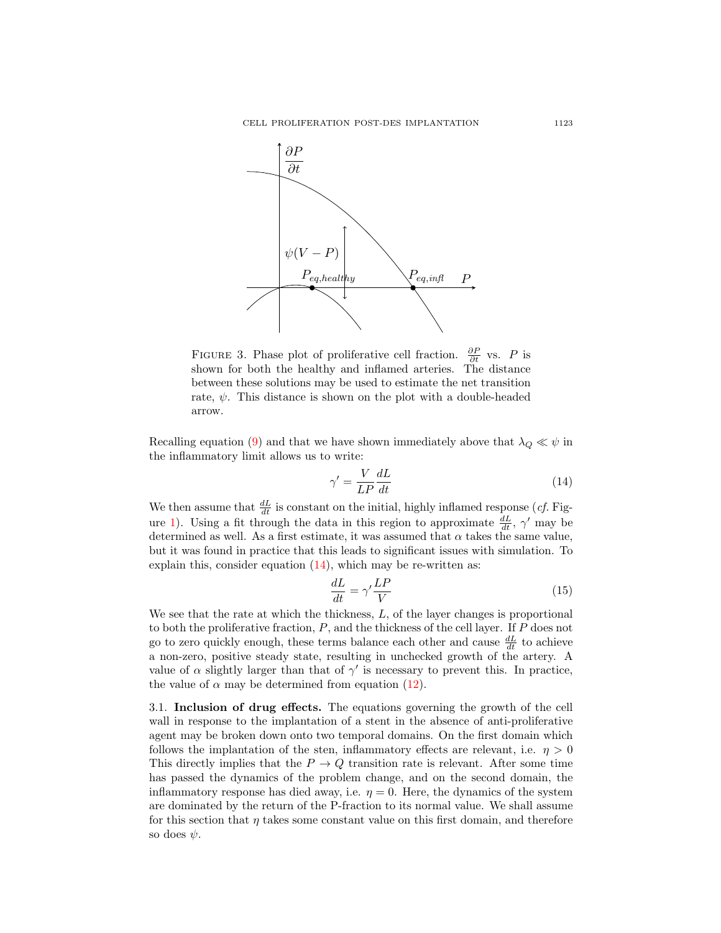

<span id="page-6-0"></span>FIGURE 3. Phase plot of proliferative cell fraction.  $\frac{\partial P}{\partial t}$  vs. P is shown for both the healthy and inflamed arteries. The distance between these solutions may be used to estimate the net transition rate,  $\psi$ . This distance is shown on the plot with a double-headed arrow.

Recalling equation [\(9\)](#page-5-0) and that we have shown immediately above that  $\lambda_Q \ll \psi$  in the inflammatory limit allows us to write:

<span id="page-6-1"></span>
$$
\gamma' = \frac{V}{LP} \frac{dL}{dt} \tag{14}
$$

We then assume that  $\frac{dL}{dt}$  is constant on the initial, highly inflamed response (*cf.* Fig-ure [1\)](#page-2-0). Using a fit through the data in this region to approximate  $\frac{dL}{dt}$ ,  $\gamma'$  may be determined as well. As a first estimate, it was assumed that  $\alpha$  takes the same value, but it was found in practice that this leads to significant issues with simulation. To explain this, consider equation  $(14)$ , which may be re-written as:

$$
\frac{dL}{dt} = \gamma' \frac{LP}{V} \tag{15}
$$

We see that the rate at which the thickness,  $L$ , of the layer changes is proportional to both the proliferative fraction,  $P$ , and the thickness of the cell layer. If  $P$  does not go to zero quickly enough, these terms balance each other and cause  $\frac{dL}{dt}$  to achieve a non-zero, positive steady state, resulting in unchecked growth of the artery. A value of  $\alpha$  slightly larger than that of  $\gamma'$  is necessary to prevent this. In practice, the value of  $\alpha$  may be determined from equation [\(12\)](#page-5-2).

3.1. Inclusion of drug effects. The equations governing the growth of the cell wall in response to the implantation of a stent in the absence of anti-proliferative agent may be broken down onto two temporal domains. On the first domain which follows the implantation of the sten, inflammatory effects are relevant, i.e.  $\eta > 0$ This directly implies that the  $P \to Q$  transition rate is relevant. After some time has passed the dynamics of the problem change, and on the second domain, the inflammatory response has died away, i.e.  $\eta = 0$ . Here, the dynamics of the system are dominated by the return of the P-fraction to its normal value. We shall assume for this section that  $\eta$  takes some constant value on this first domain, and therefore so does  $\psi$ .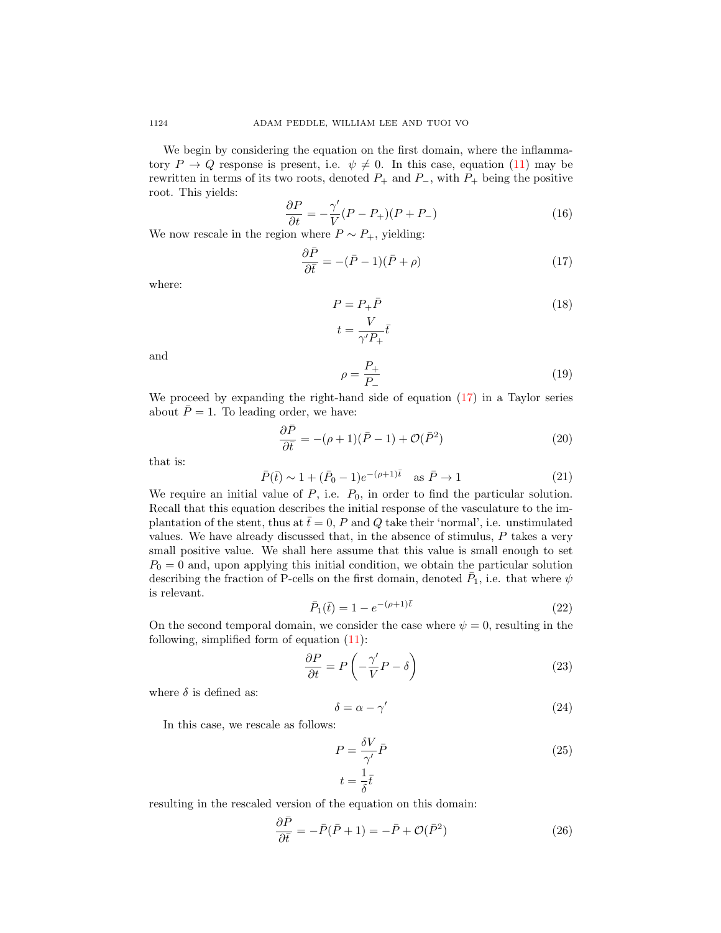We begin by considering the equation on the first domain, where the inflammatory  $P \to Q$  response is present, i.e.  $\psi \neq 0$ . In this case, equation [\(11\)](#page-5-1) may be rewritten in terms of its two roots, denoted  $P_+$  and  $P_-$ , with  $P_+$  being the positive root. This yields:

$$
\frac{\partial P}{\partial t} = -\frac{\gamma'}{V}(P - P_+)(P + P_-) \tag{16}
$$

We now rescale in the region where  $P \sim P_+$ , yielding:

<span id="page-7-0"></span>
$$
\frac{\partial \bar{P}}{\partial \bar{t}} = -(\bar{P} - 1)(\bar{P} + \rho) \tag{17}
$$

where:

$$
P = P_{+} \bar{P}
$$
  
\n
$$
t = \frac{V}{\gamma' P_{+}} \bar{t}
$$
\n(18)

and

$$
\rho = \frac{P_+}{P_-} \tag{19}
$$

We proceed by expanding the right-hand side of equation [\(17\)](#page-7-0) in a Taylor series about  $\overline{P} = 1$ . To leading order, we have:

$$
\frac{\partial \bar{P}}{\partial \bar{t}} = -(\rho + 1)(\bar{P} - 1) + \mathcal{O}(\bar{P}^2)
$$
\n(20)

that is:

$$
\bar{P}(\bar{t}) \sim 1 + (\bar{P}_0 - 1)e^{-(\rho + 1)\bar{t}} \quad \text{as } \bar{P} \to 1 \tag{21}
$$

We require an initial value of  $P$ , i.e.  $P_0$ , in order to find the particular solution. Recall that this equation describes the initial response of the vasculature to the implantation of the stent, thus at  $\bar{t}=0$ , P and Q take their 'normal', i.e. unstimulated values. We have already discussed that, in the absence of stimulus, P takes a very small positive value. We shall here assume that this value is small enough to set  $P_0 = 0$  and, upon applying this initial condition, we obtain the particular solution describing the fraction of P-cells on the first domain, denoted  $\bar{P}_1$ , i.e. that where  $\psi$ is relevant.

<span id="page-7-1"></span>
$$
\bar{P}_1(\bar{t}) = 1 - e^{-(\rho+1)\bar{t}} \tag{22}
$$

On the second temporal domain, we consider the case where  $\psi = 0$ , resulting in the following, simplified form of equation [\(11\)](#page-5-1):

$$
\frac{\partial P}{\partial t} = P\left(-\frac{\gamma'}{V}P - \delta\right) \tag{23}
$$

where  $\delta$  is defined as:

$$
\delta = \alpha - \gamma' \tag{24}
$$

In this case, we rescale as follows:

$$
P = \frac{\delta V}{\gamma'} \bar{P}
$$
  
\n
$$
t = \frac{1}{\delta} \bar{t}
$$
\n(25)

resulting in the rescaled version of the equation on this domain:

$$
\frac{\partial \bar{P}}{\partial \bar{t}} = -\bar{P}(\bar{P} + 1) = -\bar{P} + \mathcal{O}(\bar{P}^2)
$$
\n(26)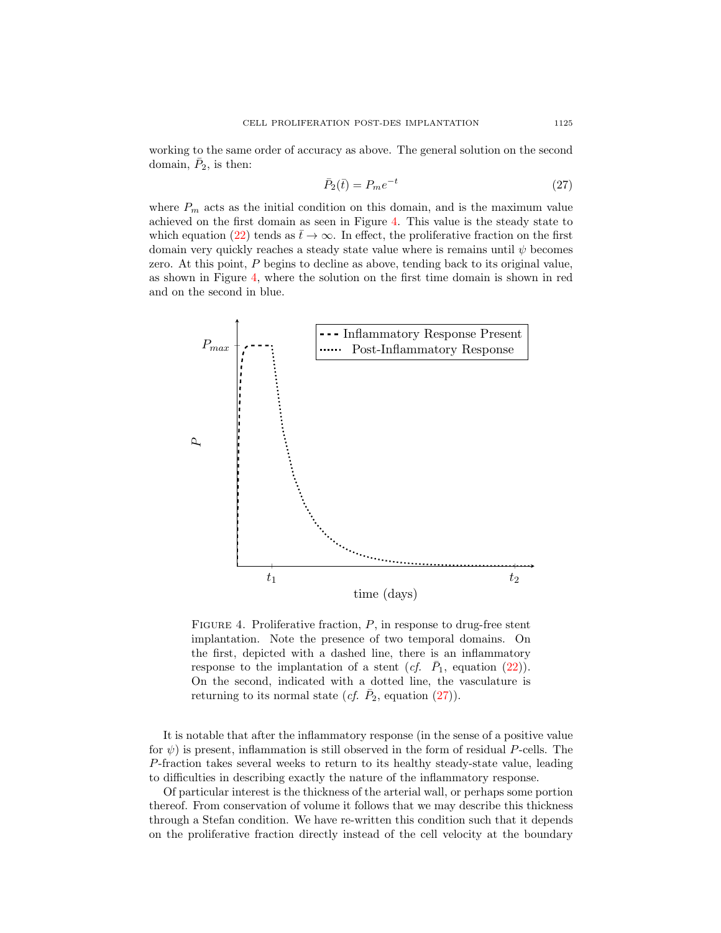working to the same order of accuracy as above. The general solution on the second domain,  $\overline{P}_2$ , is then:

<span id="page-8-1"></span>
$$
\bar{P}_2(\bar{t}) = P_m e^{-t} \tag{27}
$$

where  $P_m$  acts as the initial condition on this domain, and is the maximum value achieved on the first domain as seen in Figure [4.](#page-8-0) This value is the steady state to which equation [\(22\)](#page-7-1) tends as  $t\to\infty$ . In effect, the proliferative fraction on the first domain very quickly reaches a steady state value where is remains until  $\psi$  becomes zero. At this point, P begins to decline as above, tending back to its original value, as shown in Figure [4,](#page-8-0) where the solution on the first time domain is shown in red and on the second in blue.



<span id="page-8-0"></span>FIGURE 4. Proliferative fraction,  $P$ , in response to drug-free stent implantation. Note the presence of two temporal domains. On the first, depicted with a dashed line, there is an inflammatory response to the implantation of a stent  $(cf. \ \bar{P}_1$ , equation  $(22)$ ). On the second, indicated with a dotted line, the vasculature is returning to its normal state (*cf.*  $\overline{P}_2$ , equation [\(27\)](#page-8-1)).

It is notable that after the inflammatory response (in the sense of a positive value for  $\psi$ ) is present, inflammation is still observed in the form of residual P-cells. The P-fraction takes several weeks to return to its healthy steady-state value, leading to difficulties in describing exactly the nature of the inflammatory response.

Of particular interest is the thickness of the arterial wall, or perhaps some portion thereof. From conservation of volume it follows that we may describe this thickness through a Stefan condition. We have re-written this condition such that it depends on the proliferative fraction directly instead of the cell velocity at the boundary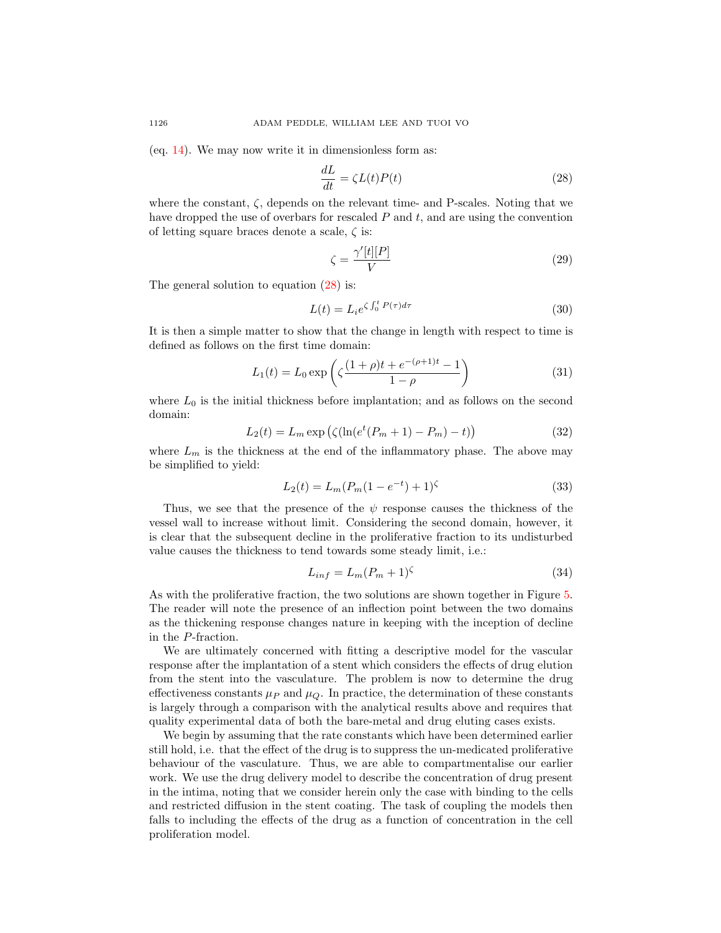(eq.  $14$ ). We may now write it in dimensionless form as:

<span id="page-9-0"></span>
$$
\frac{dL}{dt} = \zeta L(t)P(t) \tag{28}
$$

where the constant,  $\zeta$ , depends on the relevant time- and P-scales. Noting that we have dropped the use of overbars for rescaled  $P$  and  $t$ , and are using the convention of letting square braces denote a scale,  $\zeta$  is:

$$
\zeta = \frac{\gamma'[t][P]}{V} \tag{29}
$$

The general solution to equation  $(28)$  is:

$$
L(t) = L_i e^{\zeta \int_0^t P(\tau) d\tau}
$$
\n(30)

It is then a simple matter to show that the change in length with respect to time is defined as follows on the first time domain:

<span id="page-9-1"></span>
$$
L_1(t) = L_0 \exp\left(\zeta \frac{(1+\rho)t + e^{-(\rho+1)t} - 1}{1-\rho}\right)
$$
 (31)

where  $L_0$  is the initial thickness before implantation; and as follows on the second domain:

$$
L_2(t) = L_m \exp\left(\zeta(\ln(e^t(P_m + 1) - P_m) - t)\right)
$$
\n(32)

where  $L_m$  is the thickness at the end of the inflammatory phase. The above may be simplified to yield:

<span id="page-9-2"></span>
$$
L_2(t) = L_m(P_m(1 - e^{-t}) + 1)^{\zeta}
$$
\n(33)

Thus, we see that the presence of the  $\psi$  response causes the thickness of the vessel wall to increase without limit. Considering the second domain, however, it is clear that the subsequent decline in the proliferative fraction to its undisturbed value causes the thickness to tend towards some steady limit, i.e.:

$$
L_{inf} = L_m (P_m + 1)^\zeta \tag{34}
$$

As with the proliferative fraction, the two solutions are shown together in Figure [5.](#page-10-0) The reader will note the presence of an inflection point between the two domains as the thickening response changes nature in keeping with the inception of decline in the P-fraction.

We are ultimately concerned with fitting a descriptive model for the vascular response after the implantation of a stent which considers the effects of drug elution from the stent into the vasculature. The problem is now to determine the drug effectiveness constants  $\mu_P$  and  $\mu_Q$ . In practice, the determination of these constants is largely through a comparison with the analytical results above and requires that quality experimental data of both the bare-metal and drug eluting cases exists.

We begin by assuming that the rate constants which have been determined earlier still hold, i.e. that the effect of the drug is to suppress the un-medicated proliferative behaviour of the vasculature. Thus, we are able to compartmentalise our earlier work. We use the drug delivery model to describe the concentration of drug present in the intima, noting that we consider herein only the case with binding to the cells and restricted diffusion in the stent coating. The task of coupling the models then falls to including the effects of the drug as a function of concentration in the cell proliferation model.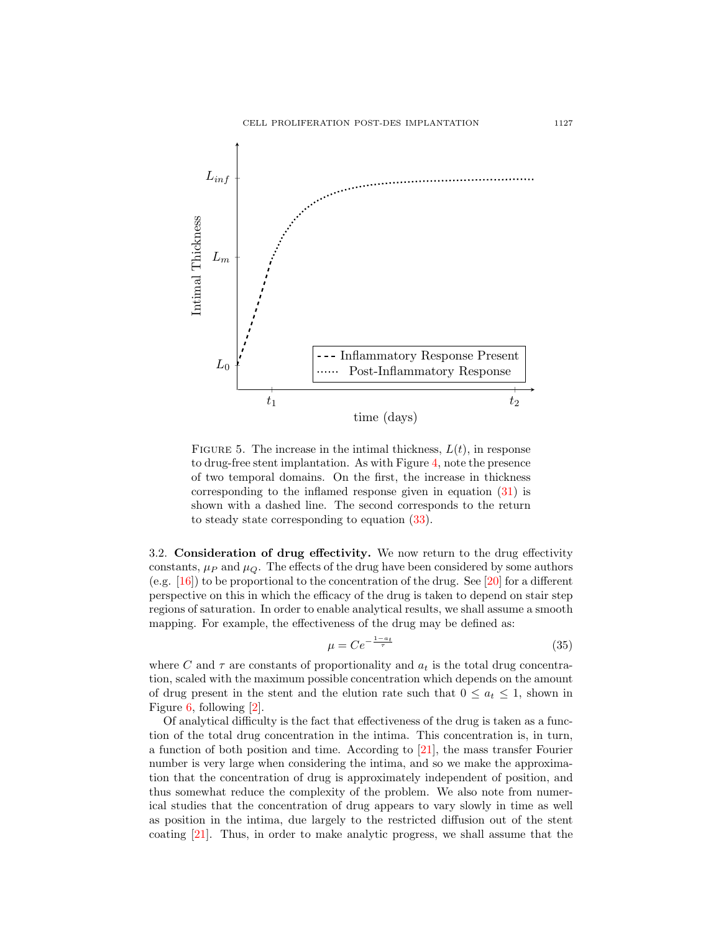

<span id="page-10-0"></span>FIGURE 5. The increase in the intimal thickness,  $L(t)$ , in response to drug-free stent implantation. As with Figure [4,](#page-8-0) note the presence of two temporal domains. On the first, the increase in thickness corresponding to the inflamed response given in equation [\(31\)](#page-9-1) is shown with a dashed line. The second corresponds to the return to steady state corresponding to equation [\(33\)](#page-9-2).

3.2. Consideration of drug effectivity. We now return to the drug effectivity constants,  $\mu_P$  and  $\mu_Q$ . The effects of the drug have been considered by some authors (e.g. [\[16\]](#page-18-6)) to be proportional to the concentration of the drug. See [\[20\]](#page-18-9) for a different perspective on this in which the efficacy of the drug is taken to depend on stair step regions of saturation. In order to enable analytical results, we shall assume a smooth mapping. For example, the effectiveness of the drug may be defined as:

$$
\mu = Ce^{-\frac{1-a_t}{\tau}}\tag{35}
$$

where C and  $\tau$  are constants of proportionality and  $a_t$  is the total drug concentration, scaled with the maximum possible concentration which depends on the amount of drug present in the stent and the elution rate such that  $0 \le a_t \le 1$ , shown in Figure [6,](#page-11-0) following [\[2\]](#page-17-12).

Of analytical difficulty is the fact that effectiveness of the drug is taken as a function of the total drug concentration in the intima. This concentration is, in turn, a function of both position and time. According to [\[21\]](#page-18-4), the mass transfer Fourier number is very large when considering the intima, and so we make the approximation that the concentration of drug is approximately independent of position, and thus somewhat reduce the complexity of the problem. We also note from numerical studies that the concentration of drug appears to vary slowly in time as well as position in the intima, due largely to the restricted diffusion out of the stent coating [\[21\]](#page-18-4). Thus, in order to make analytic progress, we shall assume that the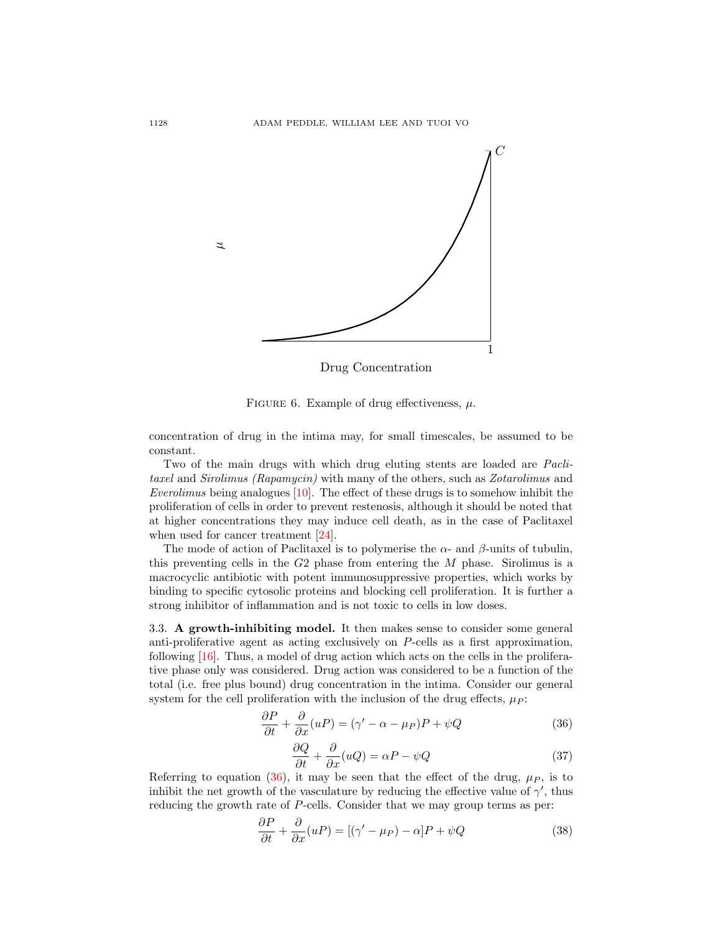

<span id="page-11-0"></span>Drug Concentration

FIGURE 6. Example of drug effectiveness,  $\mu$ .

concentration of drug in the intima may, for small timescales, be assumed to be constant.

Two of the main drugs with which drug eluting stents are loaded are *Pacli*taxel and Sirolimus (Rapamycin) with many of the others, such as Zotarolimus and Everolimus being analogues [\[10\]](#page-17-13). The effect of these drugs is to somehow inhibit the proliferation of cells in order to prevent restenosis, although it should be noted that at higher concentrations they may induce cell death, as in the case of Paclitaxel when used for cancer treatment [\[24\]](#page-18-10).

The mode of action of Paclitaxel is to polymerise the  $\alpha$ - and  $\beta$ -units of tubulin, this preventing cells in the  $G2$  phase from entering the  $M$  phase. Sirolimus is a macrocyclic antibiotic with potent immunosuppressive properties, which works by binding to specific cytosolic proteins and blocking cell proliferation. It is further a strong inhibitor of inflammation and is not toxic to cells in low doses.

3.3. A growth-inhibiting model. It then makes sense to consider some general anti-proliferative agent as acting exclusively on P-cells as a first approximation, following [\[16\]](#page-18-6). Thus, a model of drug action which acts on the cells in the proliferative phase only was considered. Drug action was considered to be a function of the total (i.e. free plus bound) drug concentration in the intima. Consider our general system for the cell proliferation with the inclusion of the drug effects,  $\mu_P$ :

<span id="page-11-1"></span>
$$
\frac{\partial P}{\partial t} + \frac{\partial}{\partial x}(uP) = (\gamma' - \alpha - \mu_P)P + \psi Q \tag{36}
$$

$$
\frac{\partial Q}{\partial t} + \frac{\partial}{\partial x}(uQ) = \alpha P - \psi Q \tag{37}
$$

Referring to equation [\(36\)](#page-11-1), it may be seen that the effect of the drug,  $\mu$ <sub>P</sub>, is to inhibit the net growth of the vasculature by reducing the effective value of  $\gamma'$ , thus reducing the growth rate of P-cells. Consider that we may group terms as per:

$$
\frac{\partial P}{\partial t} + \frac{\partial}{\partial x}(uP) = [(\gamma' - \mu_P) - \alpha]P + \psi Q \qquad (38)
$$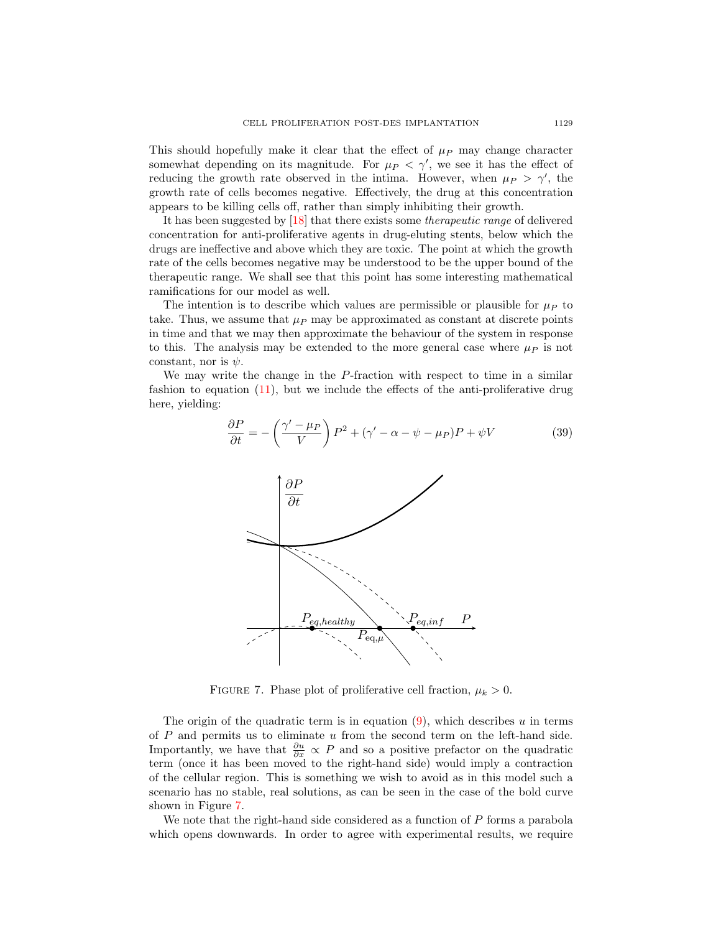This should hopefully make it clear that the effect of  $\mu$ <sub>P</sub> may change character somewhat depending on its magnitude. For  $\mu$ <sup> $\mu$ </sup>  $\lt$   $\gamma'$ , we see it has the effect of reducing the growth rate observed in the intima. However, when  $\mu_P > \gamma'$ , the growth rate of cells becomes negative. Effectively, the drug at this concentration appears to be killing cells off, rather than simply inhibiting their growth.

It has been suggested by [\[18\]](#page-18-1) that there exists some therapeutic range of delivered concentration for anti-proliferative agents in drug-eluting stents, below which the drugs are ineffective and above which they are toxic. The point at which the growth rate of the cells becomes negative may be understood to be the upper bound of the therapeutic range. We shall see that this point has some interesting mathematical ramifications for our model as well.

The intention is to describe which values are permissible or plausible for  $\mu<sub>P</sub>$  to take. Thus, we assume that  $\mu_P$  may be approximated as constant at discrete points in time and that we may then approximate the behaviour of the system in response to this. The analysis may be extended to the more general case where  $\mu<sub>P</sub>$  is not constant, nor is  $\psi$ .

We may write the change in the P-fraction with respect to time in a similar fashion to equation [\(11\)](#page-5-1), but we include the effects of the anti-proliferative drug here, yielding:

<span id="page-12-1"></span>
$$
\frac{\partial P}{\partial t} = -\left(\frac{\gamma' - \mu_P}{V}\right)P^2 + (\gamma' - \alpha - \psi - \mu_P)P + \psi V \tag{39}
$$



<span id="page-12-0"></span>FIGURE 7. Phase plot of proliferative cell fraction,  $\mu_k > 0$ .

The origin of the quadratic term is in equation  $(9)$ , which describes u in terms of  $P$  and permits us to eliminate  $u$  from the second term on the left-hand side. Importantly, we have that  $\frac{\partial u}{\partial x} \propto P$  and so a positive prefactor on the quadratic term (once it has been moved to the right-hand side) would imply a contraction of the cellular region. This is something we wish to avoid as in this model such a scenario has no stable, real solutions, as can be seen in the case of the bold curve shown in Figure [7.](#page-12-0)

We note that the right-hand side considered as a function of  $P$  forms a parabola which opens downwards. In order to agree with experimental results, we require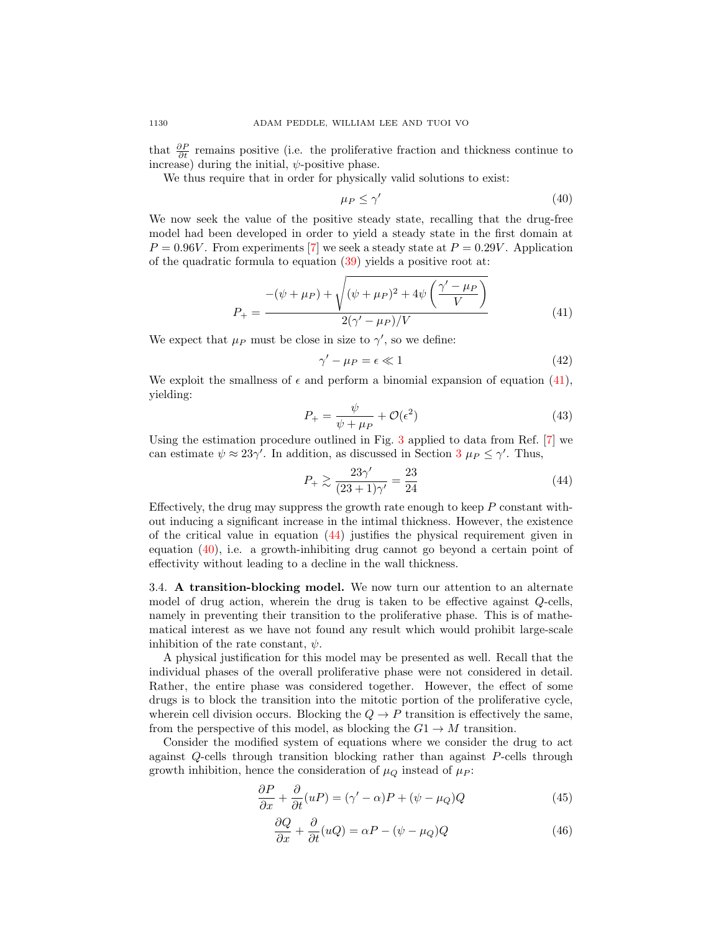that  $\frac{\partial P}{\partial t}$  remains positive (i.e. the proliferative fraction and thickness continue to increase) during the initial,  $\psi$ -positive phase.

We thus require that in order for physically valid solutions to exist:

<span id="page-13-2"></span>
$$
\mu_P \le \gamma' \tag{40}
$$

We now seek the value of the positive steady state, recalling that the drug-free model had been developed in order to yield a steady state in the first domain at  $P = 0.96V$ . From experiments [\[7\]](#page-17-10) we seek a steady state at  $P = 0.29V$ . Application of the quadratic formula to equation [\(39\)](#page-12-1) yields a positive root at:

<span id="page-13-0"></span>
$$
P_{+} = \frac{-(\psi + \mu_{P}) + \sqrt{(\psi + \mu_{P})^{2} + 4\psi \left(\frac{\gamma' - \mu_{P}}{V}\right)}}{2(\gamma' - \mu_{P})/V}
$$
(41)

We expect that  $\mu_P$  must be close in size to  $\gamma'$ , so we define:

$$
\gamma' - \mu_P = \epsilon \ll 1 \tag{42}
$$

We exploit the smallness of  $\epsilon$  and perform a binomial expansion of equation [\(41\)](#page-13-0), yielding:

$$
P_{+} = \frac{\psi}{\psi + \mu_{P}} + \mathcal{O}(\epsilon^{2})
$$
\n(43)

Using the estimation procedure outlined in Fig. [3](#page-6-0) applied to data from Ref. [\[7\]](#page-17-10) we can estimate  $\psi \approx 23\gamma'$  $\psi \approx 23\gamma'$  $\psi \approx 23\gamma'$ . In addition, as discussed in Section  $3 \mu_P \le \gamma'$ . Thus,

<span id="page-13-1"></span>
$$
P_{+} \ge \frac{23\gamma'}{(23+1)\gamma'} = \frac{23}{24}
$$
 (44)

Effectively, the drug may suppress the growth rate enough to keep  $P$  constant without inducing a significant increase in the intimal thickness. However, the existence of the critical value in equation [\(44\)](#page-13-1) justifies the physical requirement given in equation [\(40\)](#page-13-2), i.e. a growth-inhibiting drug cannot go beyond a certain point of effectivity without leading to a decline in the wall thickness.

3.4. A transition-blocking model. We now turn our attention to an alternate model of drug action, wherein the drug is taken to be effective against Q-cells, namely in preventing their transition to the proliferative phase. This is of mathematical interest as we have not found any result which would prohibit large-scale inhibition of the rate constant,  $\psi$ .

A physical justification for this model may be presented as well. Recall that the individual phases of the overall proliferative phase were not considered in detail. Rather, the entire phase was considered together. However, the effect of some drugs is to block the transition into the mitotic portion of the proliferative cycle, wherein cell division occurs. Blocking the  $Q \to P$  transition is effectively the same, from the perspective of this model, as blocking the  $G1 \rightarrow M$  transition.

Consider the modified system of equations where we consider the drug to act against Q-cells through transition blocking rather than against P-cells through growth inhibition, hence the consideration of  $\mu_Q$  instead of  $\mu_P$ :

$$
\frac{\partial P}{\partial x} + \frac{\partial}{\partial t}(uP) = (\gamma' - \alpha)P + (\psi - \mu_Q)Q \tag{45}
$$

$$
\frac{\partial Q}{\partial x} + \frac{\partial}{\partial t}(uQ) = \alpha P - (\psi - \mu_Q)Q\tag{46}
$$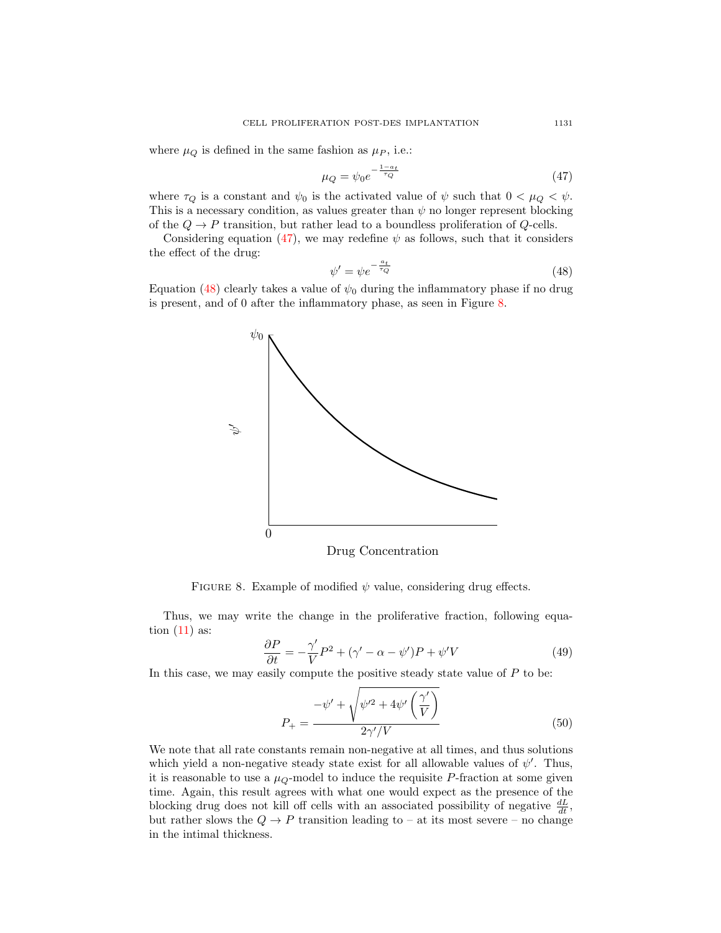where  $\mu_Q$  is defined in the same fashion as  $\mu_P$ , i.e.:

<span id="page-14-0"></span>
$$
\mu_Q = \psi_0 e^{-\frac{1 - a_t}{\tau_Q}} \tag{47}
$$

where  $\tau_Q$  is a constant and  $\psi_0$  is the activated value of  $\psi$  such that  $0 < \mu_Q < \psi$ . This is a necessary condition, as values greater than  $\psi$  no longer represent blocking of the  $Q \to P$  transition, but rather lead to a boundless proliferation of  $Q$ -cells.

Considering equation [\(47\)](#page-14-0), we may redefine  $\psi$  as follows, such that it considers the effect of the drug:

<span id="page-14-1"></span>
$$
\psi' = \psi e^{-\frac{a_t}{\tau_Q}} \tag{48}
$$

Equation [\(48\)](#page-14-1) clearly takes a value of  $\psi_0$  during the inflammatory phase if no drug is present, and of 0 after the inflammatory phase, as seen in Figure [8.](#page-14-2)



Drug Concentration

<span id="page-14-2"></span>FIGURE 8. Example of modified  $\psi$  value, considering drug effects.

Thus, we may write the change in the proliferative fraction, following equation  $(11)$  as:

$$
\frac{\partial P}{\partial t} = -\frac{\gamma'}{V}P^2 + (\gamma' - \alpha - \psi')P + \psi'V \tag{49}
$$

In this case, we may easily compute the positive steady state value of  $P$  to be:

$$
P_{+} = \frac{-\psi' + \sqrt{\psi'^2 + 4\psi'\left(\frac{\gamma'}{V}\right)}}{2\gamma'/V}
$$
\n
$$
(50)
$$

We note that all rate constants remain non-negative at all times, and thus solutions which yield a non-negative steady state exist for all allowable values of  $\psi'$ . Thus, it is reasonable to use a  $\mu_Q$ -model to induce the requisite P-fraction at some given time. Again, this result agrees with what one would expect as the presence of the blocking drug does not kill off cells with an associated possibility of negative  $\frac{dL}{dt}$ , but rather slows the  $Q \to P$  transition leading to – at its most severe – no change in the intimal thickness.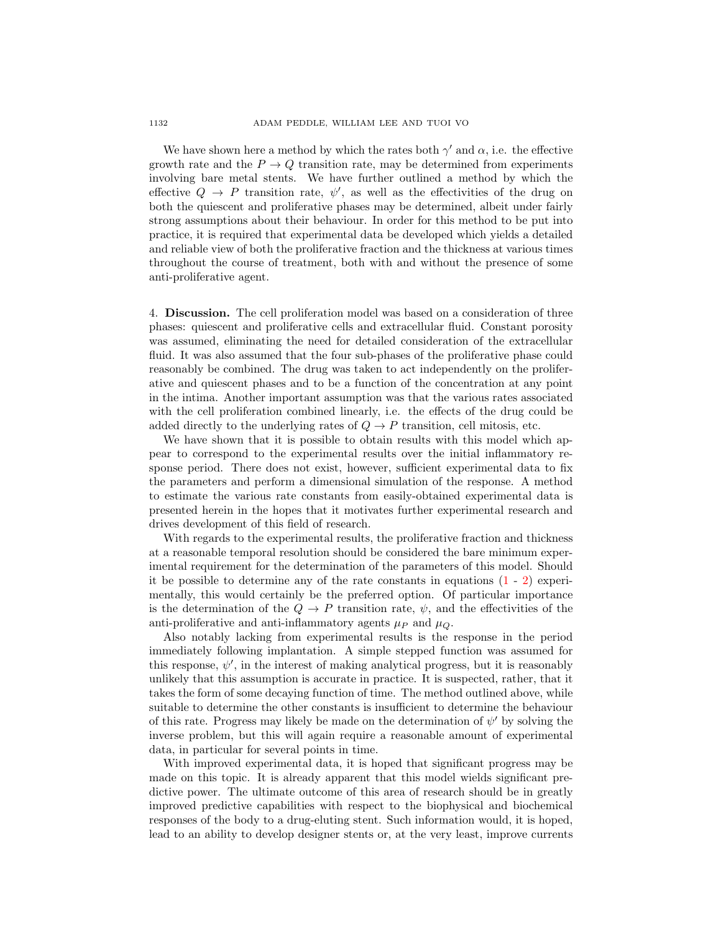We have shown here a method by which the rates both  $\gamma'$  and  $\alpha$ , i.e. the effective growth rate and the  $P \to Q$  transition rate, may be determined from experiments involving bare metal stents. We have further outlined a method by which the effective  $Q \rightarrow P$  transition rate,  $\psi'$ , as well as the effectivities of the drug on both the quiescent and proliferative phases may be determined, albeit under fairly strong assumptions about their behaviour. In order for this method to be put into practice, it is required that experimental data be developed which yields a detailed and reliable view of both the proliferative fraction and the thickness at various times throughout the course of treatment, both with and without the presence of some anti-proliferative agent.

4. Discussion. The cell proliferation model was based on a consideration of three phases: quiescent and proliferative cells and extracellular fluid. Constant porosity was assumed, eliminating the need for detailed consideration of the extracellular fluid. It was also assumed that the four sub-phases of the proliferative phase could reasonably be combined. The drug was taken to act independently on the proliferative and quiescent phases and to be a function of the concentration at any point in the intima. Another important assumption was that the various rates associated with the cell proliferation combined linearly, i.e. the effects of the drug could be added directly to the underlying rates of  $Q \to P$  transition, cell mitosis, etc.

We have shown that it is possible to obtain results with this model which appear to correspond to the experimental results over the initial inflammatory response period. There does not exist, however, sufficient experimental data to fix the parameters and perform a dimensional simulation of the response. A method to estimate the various rate constants from easily-obtained experimental data is presented herein in the hopes that it motivates further experimental research and drives development of this field of research.

With regards to the experimental results, the proliferative fraction and thickness at a reasonable temporal resolution should be considered the bare minimum experimental requirement for the determination of the parameters of this model. Should it be possible to determine any of the rate constants in equations  $(1 - 2)$  $(1 - 2)$  $(1 - 2)$  experimentally, this would certainly be the preferred option. Of particular importance is the determination of the  $Q \to P$  transition rate,  $\psi$ , and the effectivities of the anti-proliferative and anti-inflammatory agents  $\mu_P$  and  $\mu_Q$ .

Also notably lacking from experimental results is the response in the period immediately following implantation. A simple stepped function was assumed for this response,  $\psi'$ , in the interest of making analytical progress, but it is reasonably unlikely that this assumption is accurate in practice. It is suspected, rather, that it takes the form of some decaying function of time. The method outlined above, while suitable to determine the other constants is insufficient to determine the behaviour of this rate. Progress may likely be made on the determination of  $\psi'$  by solving the inverse problem, but this will again require a reasonable amount of experimental data, in particular for several points in time.

With improved experimental data, it is hoped that significant progress may be made on this topic. It is already apparent that this model wields significant predictive power. The ultimate outcome of this area of research should be in greatly improved predictive capabilities with respect to the biophysical and biochemical responses of the body to a drug-eluting stent. Such information would, it is hoped, lead to an ability to develop designer stents or, at the very least, improve currents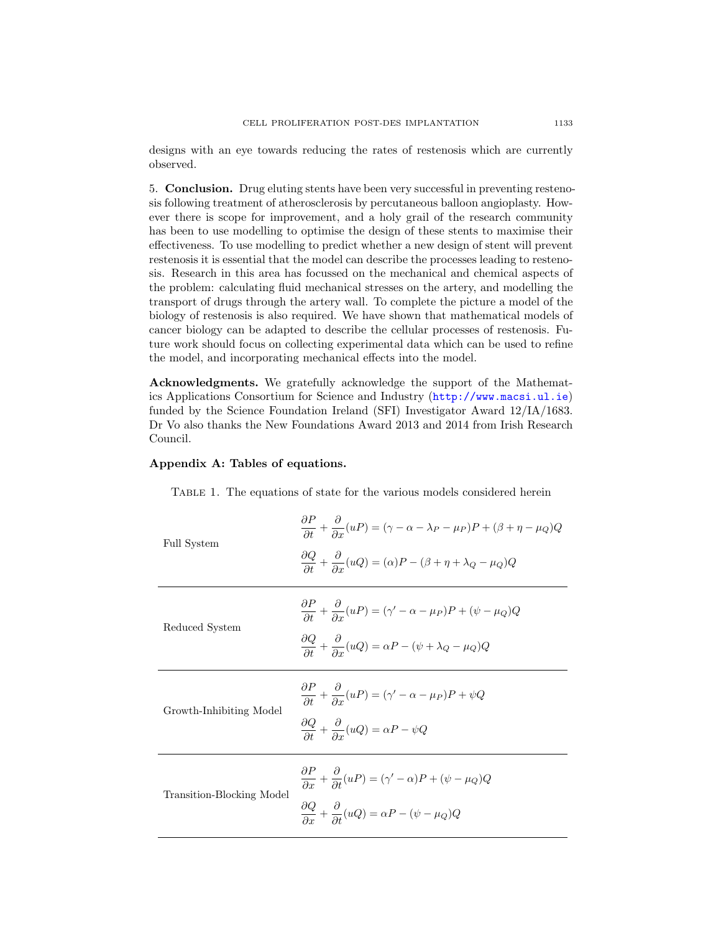designs with an eye towards reducing the rates of restenosis which are currently observed.

5. Conclusion. Drug eluting stents have been very successful in preventing restenosis following treatment of atherosclerosis by percutaneous balloon angioplasty. However there is scope for improvement, and a holy grail of the research community has been to use modelling to optimise the design of these stents to maximise their effectiveness. To use modelling to predict whether a new design of stent will prevent restenosis it is essential that the model can describe the processes leading to restenosis. Research in this area has focussed on the mechanical and chemical aspects of the problem: calculating fluid mechanical stresses on the artery, and modelling the transport of drugs through the artery wall. To complete the picture a model of the biology of restenosis is also required. We have shown that mathematical models of cancer biology can be adapted to describe the cellular processes of restenosis. Future work should focus on collecting experimental data which can be used to refine the model, and incorporating mechanical effects into the model.

Acknowledgments. We gratefully acknowledge the support of the Mathematics Applications Consortium for Science and Industry (<http://www.macsi.ul.ie>) funded by the Science Foundation Ireland (SFI) Investigator Award 12/IA/1683. Dr Vo also thanks the New Foundations Award 2013 and 2014 from Irish Research Council.

## Appendix A: Tables of equations.

Table 1. The equations of state for the various models considered herein

| Full System               | $\frac{\partial P}{\partial t} + \frac{\partial}{\partial x}(uP) = (\gamma - \alpha - \lambda_P - \mu_P)P + (\beta + \eta - \mu_Q)Q$<br>$\frac{\partial Q}{\partial t} + \frac{\partial}{\partial x}(uQ) = (\alpha)P - (\beta + \eta + \lambda_Q - \mu_Q)Q$ |
|---------------------------|-------------------------------------------------------------------------------------------------------------------------------------------------------------------------------------------------------------------------------------------------------------|
| Reduced System            | $\frac{\partial P}{\partial t} + \frac{\partial}{\partial x}(uP) = (\gamma' - \alpha - \mu_P)P + (\psi - \mu_Q)Q$<br>$\frac{\partial Q}{\partial t} + \frac{\partial}{\partial x}(uQ) = \alpha P - (\psi + \lambda_Q - \mu_Q)Q$                             |
| Growth-Inhibiting Model   | $\frac{\partial P}{\partial t} + \frac{\partial}{\partial x}(uP) = (\gamma' - \alpha - \mu_P)P + \psi Q$<br>$\frac{\partial Q}{\partial t} + \frac{\partial}{\partial x}(uQ) = \alpha P - \psi Q$                                                           |
| Transition-Blocking Model | $\frac{\partial P}{\partial x} + \frac{\partial}{\partial t}(uP) = (\gamma' - \alpha)P + (\psi - \mu_Q)Q$<br>$\frac{\partial Q}{\partial x} + \frac{\partial}{\partial t}(uQ) = \alpha P - (\psi - \mu_Q)Q$                                                 |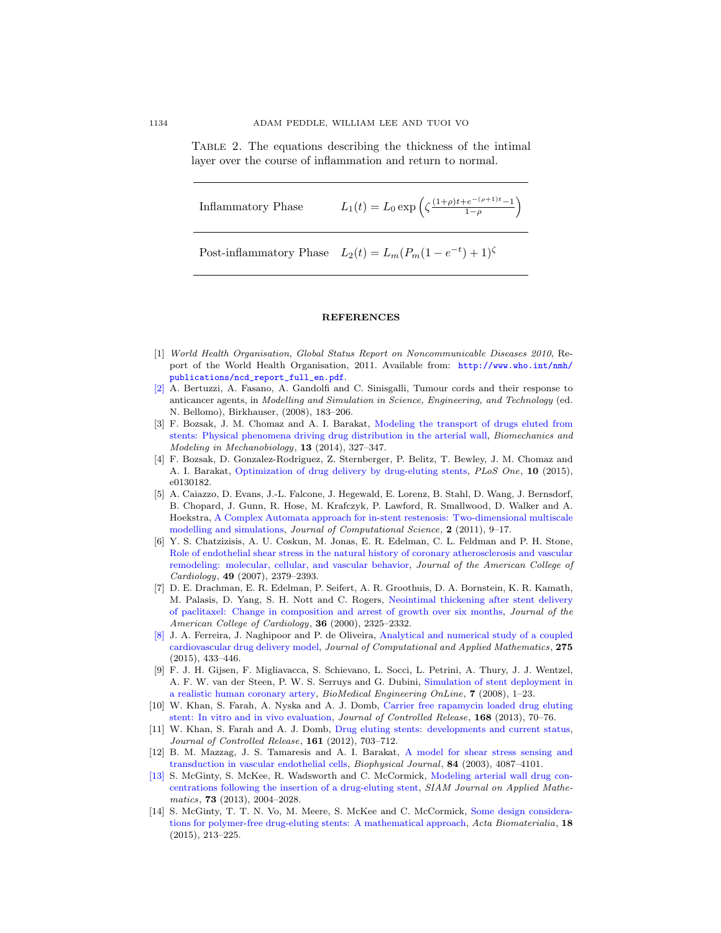Table 2. The equations describing the thickness of the intimal layer over the course of inflammation and return to normal.

$$
Inflammatory Phase \t L_1(t) = L_0 \exp\left(\zeta \frac{(1+\rho)t + e^{-(\rho+1)t} - 1}{1-\rho}\right)
$$

Post-inflammatory Phase  $L_2(t) = L_m(P_m(1 - e^{-t}) + 1)$ <sup> $\zeta$ </sup>

## **REFERENCES**

- <span id="page-17-0"></span>[1] World Health Organisation, Global Status Report on Noncommunicable Diseases 2010, Report of the World Health Organisation, 2011. Available from: [http://www.who.int/nmh/](http://www.who.int/nmh/publications/ncd_report_full_en.pdf) [publications/ncd\\_report\\_full\\_en.pdf](http://www.who.int/nmh/publications/ncd_report_full_en.pdf).
- <span id="page-17-12"></span>[\[2\]](http://www.ams.org/mathscinet-getitem?mr=MR2477131&return=pdf) A. Bertuzzi, A. Fasano, A. Gandolfi and C. Sinisgalli, Tumour cords and their response to anticancer agents, in Modelling and Simulation in Science, Engineering, and Technology (ed. N. Bellomo), Birkhauser, (2008), 183–206.
- <span id="page-17-7"></span>[3] F. Bozsak, J. M. Chomaz and A. I. Barakat, [Modeling the transport of drugs eluted from](http://dx.doi.org/10.1007/s10237-013-0546-4) [stents: Physical phenomena driving drug distribution in the arterial wall,](http://dx.doi.org/10.1007/s10237-013-0546-4) Biomechanics and Modeling in Mechanobiology, 13 (2014), 327–347.
- <span id="page-17-8"></span>[4] F. Bozsak, D. Gonzalez-Rodriguez, Z. Sternberger, P. Belitz, T. Bewley, J. M. Chomaz and A. I. Barakat, [Optimization of drug delivery by drug-eluting stents,](http://dx.doi.org/10.1371/journal.pone.0130182) PLoS One, 10 (2015), e0130182.
- <span id="page-17-9"></span>[5] A. Caiazzo, D. Evans, J.-L. Falcone, J. Hegewald, E. Lorenz, B. Stahl, D. Wang, J. Bernsdorf, B. Chopard, J. Gunn, R. Hose, M. Krafczyk, P. Lawford, R. Smallwood, D. Walker and A. Hoekstra, [A Complex Automata approach for in-stent restenosis: Two-dimensional multiscale](http://dx.doi.org/10.1016/j.jocs.2010.09.002) [modelling and simulations,](http://dx.doi.org/10.1016/j.jocs.2010.09.002) Journal of Computational Science, 2 (2011), 9-17.
- <span id="page-17-2"></span>[6] Y. S. Chatzizisis, A. U. Coskun, M. Jonas, E. R. Edelman, C. L. Feldman and P. H. Stone, [Role of endothelial shear stress in the natural history of coronary atherosclerosis and vascular](http://dx.doi.org/10.1016/j.jacc.2007.02.059) [remodeling: molecular, cellular, and vascular behavior,](http://dx.doi.org/10.1016/j.jacc.2007.02.059) Journal of the American College of Cardiology, 49 (2007), 2379–2393.
- <span id="page-17-10"></span>[7] D. E. Drachman, E. R. Edelman, P. Seifert, A. R. Groothuis, D. A. Bornstein, K. R. Kamath, M. Palasis, D. Yang, S. H. Nott and C. Rogers, [Neointimal thickening after stent delivery](http://dx.doi.org/10.1016/S0735-1097(00)01020-2) [of paclitaxel: Change in composition and arrest of growth over six months,](http://dx.doi.org/10.1016/S0735-1097(00)01020-2) Journal of the American College of Cardiology, 36 (2000), 2325–2332.
- <span id="page-17-5"></span>[\[8\]](http://www.ams.org/mathscinet-getitem?mr=MR3261543&return=pdf) J. A. Ferreira, J. Naghipoor and P. de Oliveira, [Analytical and numerical study of a coupled](http://dx.doi.org/10.1016/j.cam.2014.04.021) [cardiovascular drug delivery model,](http://dx.doi.org/10.1016/j.cam.2014.04.021) Journal of Computational and Applied Mathematics, 275 (2015), 433–446.
- <span id="page-17-3"></span>[9] F. J. H. Gijsen, F. Migliavacca, S. Schievano, L. Socci, L. Petrini, A. Thury, J. J. Wentzel, A. F. W. van der Steen, P. W. S. Serruys and G. Dubini, [Simulation of stent deployment in](http://dx.doi.org/10.1186/1475-925X-7-23) [a realistic human coronary artery,](http://dx.doi.org/10.1186/1475-925X-7-23) BioMedical Engineering OnLine, 7 (2008), 1–23.
- <span id="page-17-13"></span>[10] W. Khan, S. Farah, A. Nyska and A. J. Domb, [Carrier free rapamycin loaded drug eluting](http://dx.doi.org/10.1016/j.jconrel.2013.02.012) [stent: In vitro and in vivo evaluation,](http://dx.doi.org/10.1016/j.jconrel.2013.02.012) Journal of Controlled Release, 168 (2013), 70–76.
- <span id="page-17-11"></span>[11] W. Khan, S. Farah and A. J. Domb, [Drug eluting stents: developments and current status,](http://dx.doi.org/10.1016/j.jconrel.2012.02.010) Journal of Controlled Release, 161 (2012), 703–712.
- <span id="page-17-4"></span>[12] B. M. Mazzag, J. S. Tamaresis and A. I. Barakat, [A model for shear stress sensing and](http://dx.doi.org/10.1016/S0006-3495(03)75134-0) [transduction in vascular endothelial cells,](http://dx.doi.org/10.1016/S0006-3495(03)75134-0) Biophysical Journal, 84 (2003), 4087–4101.
- <span id="page-17-1"></span>[\[13\]](http://www.ams.org/mathscinet-getitem?mr=MR3127001&return=pdf) S. McGinty, S. McKee, R. Wadsworth and C. McCormick, [Modeling arterial wall drug con](http://dx.doi.org/10.1137/12089065X)[centrations following the insertion of a drug-eluting stent,](http://dx.doi.org/10.1137/12089065X) SIAM Journal on Applied Mathematics, 73 (2013), 2004–2028.
- <span id="page-17-6"></span>[14] S. McGinty, T. T. N. Vo, M. Meere, S. McKee and C. McCormick, [Some design considera](http://dx.doi.org/10.1016/j.actbio.2015.02.006)[tions for polymer-free drug-eluting stents: A mathematical approach,](http://dx.doi.org/10.1016/j.actbio.2015.02.006) Acta Biomaterialia, 18 (2015), 213–225.